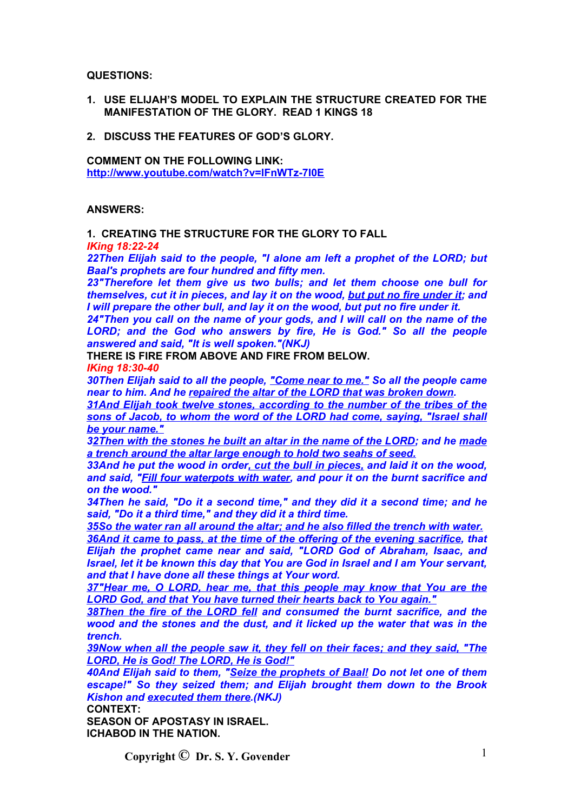**QUESTIONS:**

- **1. USE ELIJAH'S MODEL TO EXPLAIN THE STRUCTURE CREATED FOR THE MANIFESTATION OF THE GLORY. READ 1 KINGS 18**
- **2. DISCUSS THE FEATURES OF GOD'S GLORY.**

**COMMENT ON THE FOLLOWING LINK: <http://www.youtube.com/watch?v=lFnWTz-7I0E>**

# **ANSWERS:**

**1. CREATING THE STRUCTURE FOR THE GLORY TO FALL**

*IKing 18:22-24*

*22Then Elijah said to the people, "I alone am left a prophet of the LORD; but Baal's prophets are four hundred and fifty men.*

*23"Therefore let them give us two bulls; and let them choose one bull for themselves, cut it in pieces, and lay it on the wood, but put no fire under it; and I will prepare the other bull, and lay it on the wood, but put no fire under it.*

*24"Then you call on the name of your gods, and I will call on the name of the LORD; and the God who answers by fire, He is God." So all the people answered and said, "It is well spoken."(NKJ)*

**THERE IS FIRE FROM ABOVE AND FIRE FROM BELOW.**

*IKing 18:30-40*

*30Then Elijah said to all the people, "Come near to me." So all the people came near to him. And he repaired the altar of the LORD that was broken down.*

*31And Elijah took twelve stones, according to the number of the tribes of the sons of Jacob, to whom the word of the LORD had come, saying, "Israel shall be your name."*

*32Then with the stones he built an altar in the name of the LORD; and he made a trench around the altar large enough to hold two seahs of seed.*

*33And he put the wood in order, cut the bull in pieces, and laid it on the wood, and said, "Fill four waterpots with water, and pour it on the burnt sacrifice and on the wood."*

*34Then he said, "Do it a second time," and they did it a second time; and he said, "Do it a third time," and they did it a third time.*

*35So the water ran all around the altar; and he also filled the trench with water.*

*36And it came to pass, at the time of the offering of the evening sacrifice, that Elijah the prophet came near and said, "LORD God of Abraham, Isaac, and Israel, let it be known this day that You are God in Israel and I am Your servant, and that I have done all these things at Your word.*

*37"Hear me, O LORD, hear me, that this people may know that You are the LORD God, and that You have turned their hearts back to You again."*

*38Then the fire of the LORD fell and consumed the burnt sacrifice, and the wood and the stones and the dust, and it licked up the water that was in the trench.*

*39Now when all the people saw it, they fell on their faces; and they said, "The LORD, He is God! The LORD, He is God!"*

*40And Elijah said to them, "Seize the prophets of Baal! Do not let one of them escape!" So they seized them; and Elijah brought them down to the Brook Kishon and executed them there.(NKJ)*

**CONTEXT:**

**SEASON OF APOSTASY IN ISRAEL. ICHABOD IN THE NATION.**

**Convright**  $\odot$  **Dr. S. Y. Govender** 1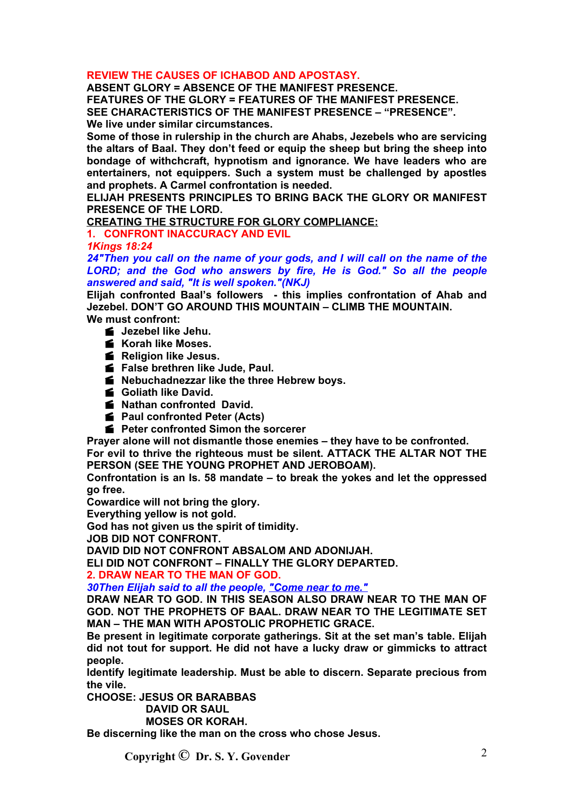# **REVIEW THE CAUSES OF ICHABOD AND APOSTASY.**

**ABSENT GLORY = ABSENCE OF THE MANIFEST PRESENCE. FEATURES OF THE GLORY = FEATURES OF THE MANIFEST PRESENCE. SEE CHARACTERISTICS OF THE MANIFEST PRESENCE – "PRESENCE". We live under similar circumstances.**

**Some of those in rulership in the church are Ahabs, Jezebels who are servicing the altars of Baal. They don't feed or equip the sheep but bring the sheep into bondage of withchcraft, hypnotism and ignorance. We have leaders who are entertainers, not equippers. Such a system must be challenged by apostles and prophets. A Carmel confrontation is needed.**

**ELIJAH PRESENTS PRINCIPLES TO BRING BACK THE GLORY OR MANIFEST PRESENCE OF THE LORD.**

**CREATING THE STRUCTURE FOR GLORY COMPLIANCE:**

**1. CONFRONT INACCURACY AND EVIL**

*1Kings 18:24*

*24"Then you call on the name of your gods, and I will call on the name of the LORD; and the God who answers by fire, He is God." So all the people answered and said, "It is well spoken."(NKJ)*

**Elijah confronted Baal's followers - this implies confrontation of Ahab and Jezebel. DON'T GO AROUND THIS MOUNTAIN – CLIMB THE MOUNTAIN.**

**We must confront:**

- **Jezebel like Jehu.**
- **Korah like Moses.**
- **Religion like Jesus.**
- **False brethren like Jude, Paul.**
- **Nebuchadnezzar like the three Hebrew boys.**
- **Goliath like David.**
- **K** Nathan confronted David.
- **Paul confronted Peter (Acts)**
- **F** Peter confronted Simon the sorcerer

**Prayer alone will not dismantle those enemies – they have to be confronted. For evil to thrive the righteous must be silent. ATTACK THE ALTAR NOT THE PERSON (SEE THE YOUNG PROPHET AND JEROBOAM).**

**Confrontation is an Is. 58 mandate – to break the yokes and let the oppressed go free.**

**Cowardice will not bring the glory.**

**Everything yellow is not gold.**

**God has not given us the spirit of timidity.**

**JOB DID NOT CONFRONT.**

**DAVID DID NOT CONFRONT ABSALOM AND ADONIJAH.**

**ELI DID NOT CONFRONT – FINALLY THE GLORY DEPARTED.**

# **2. DRAW NEAR TO THE MAN OF GOD.**

*30Then Elijah said to all the people, "Come near to me."*

**DRAW NEAR TO GOD. IN THIS SEASON ALSO DRAW NEAR TO THE MAN OF GOD. NOT THE PROPHETS OF BAAL. DRAW NEAR TO THE LEGITIMATE SET MAN – THE MAN WITH APOSTOLIC PROPHETIC GRACE.**

**Be present in legitimate corporate gatherings. Sit at the set man's table. Elijah did not tout for support. He did not have a lucky draw or gimmicks to attract people.**

**Identify legitimate leadership. Must be able to discern. Separate precious from the vile.**

**CHOOSE: JESUS OR BARABBAS**

**DAVID OR SAUL**

**MOSES OR KORAH.**

**Be discerning like the man on the cross who chose Jesus.**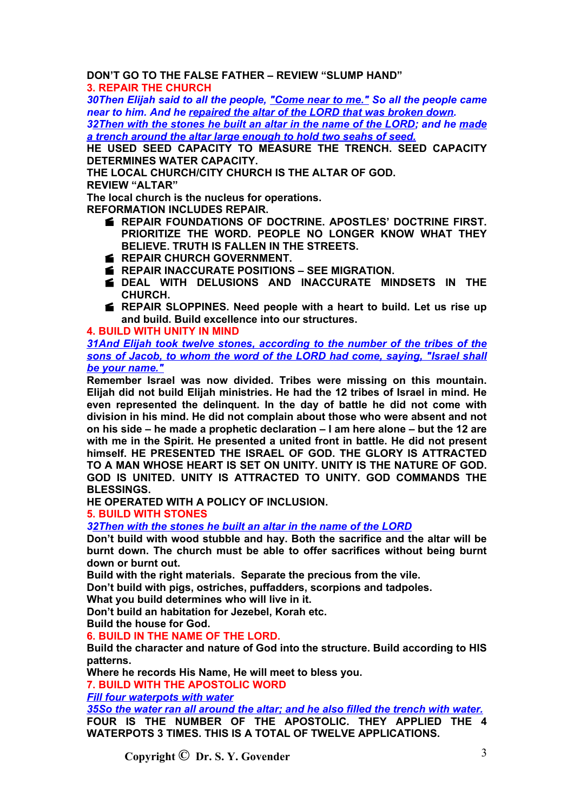**DON'T GO TO THE FALSE FATHER – REVIEW "SLUMP HAND"**

**3. REPAIR THE CHURCH**

*30Then Elijah said to all the people, "Come near to me." So all the people came near to him. And he repaired the altar of the LORD that was broken down.*

*32Then with the stones he built an altar in the name of the LORD; and he made a trench around the altar large enough to hold two seahs of seed.*

**HE USED SEED CAPACITY TO MEASURE THE TRENCH. SEED CAPACITY DETERMINES WATER CAPACITY.**

**THE LOCAL CHURCH/CITY CHURCH IS THE ALTAR OF GOD. REVIEW "ALTAR"**

**The local church is the nucleus for operations. REFORMATION INCLUDES REPAIR.**

- **REPAIR FOUNDATIONS OF DOCTRINE. APOSTLES' DOCTRINE FIRST. PRIORITIZE THE WORD. PEOPLE NO LONGER KNOW WHAT THEY BELIEVE. TRUTH IS FALLEN IN THE STREETS.**
- **REPAIR CHURCH GOVERNMENT.**
- **REPAIR INACCURATE POSITIONS SEE MIGRATION.**
- **DEAL WITH DELUSIONS AND INACCURATE MINDSETS IN THE CHURCH.**
- **REPAIR SLOPPINES. Need people with a heart to build. Let us rise up and build. Build excellence into our structures.**

**4. BUILD WITH UNITY IN MIND**

*31And Elijah took twelve stones, according to the number of the tribes of the sons of Jacob, to whom the word of the LORD had come, saying, "Israel shall be your name."*

**Remember Israel was now divided. Tribes were missing on this mountain. Elijah did not build Elijah ministries. He had the 12 tribes of Israel in mind. He even represented the delinquent. In the day of battle he did not come with division in his mind. He did not complain about those who were absent and not on his side – he made a prophetic declaration – I am here alone – but the 12 are with me in the Spirit. He presented a united front in battle. He did not present himself. HE PRESENTED THE ISRAEL OF GOD. THE GLORY IS ATTRACTED TO A MAN WHOSE HEART IS SET ON UNITY. UNITY IS THE NATURE OF GOD. GOD IS UNITED. UNITY IS ATTRACTED TO UNITY. GOD COMMANDS THE BLESSINGS.**

**HE OPERATED WITH A POLICY OF INCLUSION.**

**5. BUILD WITH STONES**

*32Then with the stones he built an altar in the name of the LORD*

**Don't build with wood stubble and hay. Both the sacrifice and the altar will be burnt down. The church must be able to offer sacrifices without being burnt down or burnt out.**

**Build with the right materials. Separate the precious from the vile.**

**Don't build with pigs, ostriches, puffadders, scorpions and tadpoles.**

**What you build determines who will live in it.**

**Don't build an habitation for Jezebel, Korah etc.**

**Build the house for God.**

**6. BUILD IN THE NAME OF THE LORD.**

**Build the character and nature of God into the structure. Build according to HIS patterns.**

**Where he records His Name, He will meet to bless you.**

**7. BUILD WITH THE APOSTOLIC WORD**

*Fill four waterpots with water*

*35So the water ran all around the altar; and he also filled the trench with water.* **FOUR IS THE NUMBER OF THE APOSTOLIC. THEY APPLIED THE 4 WATERPOTS 3 TIMES. THIS IS A TOTAL OF TWELVE APPLICATIONS.**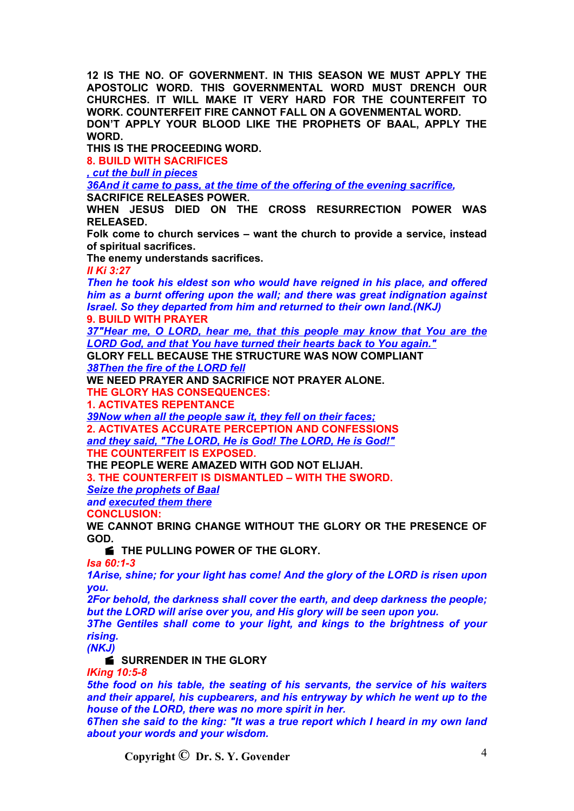**12 IS THE NO. OF GOVERNMENT. IN THIS SEASON WE MUST APPLY THE APOSTOLIC WORD. THIS GOVERNMENTAL WORD MUST DRENCH OUR CHURCHES. IT WILL MAKE IT VERY HARD FOR THE COUNTERFEIT TO WORK. COUNTERFEIT FIRE CANNOT FALL ON A GOVENMENTAL WORD. DON'T APPLY YOUR BLOOD LIKE THE PROPHETS OF BAAL, APPLY THE WORD.**

**THIS IS THE PROCEEDING WORD.**

**8. BUILD WITH SACRIFICES**

*, cut the bull in pieces*

*36And it came to pass, at the time of the offering of the evening sacrifice,*

**SACRIFICE RELEASES POWER.**

**WHEN JESUS DIED ON THE CROSS RESURRECTION POWER WAS RELEASED.**

**Folk come to church services – want the church to provide a service, instead of spiritual sacrifices.**

**The enemy understands sacrifices.**

*II Ki 3:27*

*Then he took his eldest son who would have reigned in his place, and offered him as a burnt offering upon the wall; and there was great indignation against Israel. So they departed from him and returned to their own land.(NKJ)* **9. BUILD WITH PRAYER**

*37"Hear me, O LORD, hear me, that this people may know that You are the LORD God, and that You have turned their hearts back to You again."*

**GLORY FELL BECAUSE THE STRUCTURE WAS NOW COMPLIANT** *38Then the fire of the LORD fell*

**WE NEED PRAYER AND SACRIFICE NOT PRAYER ALONE. THE GLORY HAS CONSEQUENCES:**

**1. ACTIVATES REPENTANCE**

*39Now when all the people saw it, they fell on their faces;*

**2. ACTIVATES ACCURATE PERCEPTION AND CONFESSIONS** *and they said, "The LORD, He is God! The LORD, He is God!"*

**THE COUNTERFEIT IS EXPOSED.**

**THE PEOPLE WERE AMAZED WITH GOD NOT ELIJAH.**

**3. THE COUNTERFEIT IS DISMANTLED – WITH THE SWORD.**

*Seize the prophets of Baal*

*and executed them there*

**CONCLUSION:**

**WE CANNOT BRING CHANGE WITHOUT THE GLORY OR THE PRESENCE OF GOD.**

**E** THE PULLING POWER OF THE GLORY.

*Isa 60:1-3*

*1Arise, shine; for your light has come! And the glory of the LORD is risen upon you.*

*2For behold, the darkness shall cover the earth, and deep darkness the people; but the LORD will arise over you, and His glory will be seen upon you.*

*3The Gentiles shall come to your light, and kings to the brightness of your rising.*

*(NKJ)*

**SURRENDER IN THE GLORY** 

*IKing 10:5-8*

*5the food on his table, the seating of his servants, the service of his waiters and their apparel, his cupbearers, and his entryway by which he went up to the house of the LORD, there was no more spirit in her.*

*6Then she said to the king: "It was a true report which I heard in my own land about your words and your wisdom.*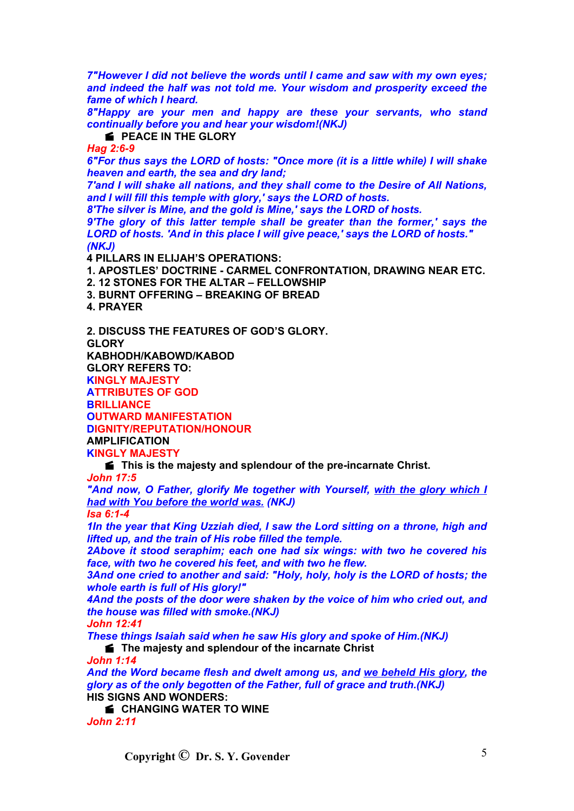*7"However I did not believe the words until I came and saw with my own eyes; and indeed the half was not told me. Your wisdom and prosperity exceed the fame of which I heard.*

*8"Happy are your men and happy are these your servants, who stand continually before you and hear your wisdom!(NKJ)*

**PEACE IN THE GLORY** 

*Hag 2:6-9*

*6"For thus says the LORD of hosts: "Once more (it is a little while) I will shake heaven and earth, the sea and dry land;*

*7'and I will shake all nations, and they shall come to the Desire of All Nations, and I will fill this temple with glory,' says the LORD of hosts.*

*8'The silver is Mine, and the gold is Mine,' says the LORD of hosts.*

*9'The glory of this latter temple shall be greater than the former,' says the LORD of hosts. 'And in this place I will give peace,' says the LORD of hosts." (NKJ)*

**4 PILLARS IN ELIJAH'S OPERATIONS:**

**1. APOSTLES' DOCTRINE - CARMEL CONFRONTATION, DRAWING NEAR ETC.**

**2. 12 STONES FOR THE ALTAR – FELLOWSHIP**

**3. BURNT OFFERING – BREAKING OF BREAD**

**4. PRAYER**

**2. DISCUSS THE FEATURES OF GOD'S GLORY.**

**GLORY**

**KABHODH/KABOWD/KABOD**

**GLORY REFERS TO:**

**KINGLY MAJESTY**

**ATTRIBUTES OF GOD**

**BRILLIANCE OUTWARD MANIFESTATION**

**DIGNITY/REPUTATION/HONOUR**

**AMPLIFICATION**

**KINGLY MAJESTY**

**This is the majesty and splendour of the pre-incarnate Christ.**

*John 17:5*

*"And now, O Father, glorify Me together with Yourself, with the glory which I had with You before the world was. (NKJ)*

*Isa 6:1-4*

*1In the year that King Uzziah died, I saw the Lord sitting on a throne, high and lifted up, and the train of His robe filled the temple.*

*2Above it stood seraphim; each one had six wings: with two he covered his face, with two he covered his feet, and with two he flew.*

*3And one cried to another and said: "Holy, holy, holy is the LORD of hosts; the whole earth is full of His glory!"*

*4And the posts of the door were shaken by the voice of him who cried out, and the house was filled with smoke.(NKJ)*

*John 12:41*

*These things Isaiah said when he saw His glory and spoke of Him.(NKJ)*

**f** The majesty and splendour of the incarnate Christ

*John 1:14*

*And the Word became flesh and dwelt among us, and we beheld His glory, the glory as of the only begotten of the Father, full of grace and truth.(NKJ)* **HIS SIGNS AND WONDERS:**

**E** CHANGING WATER TO WINE

*John 2:11*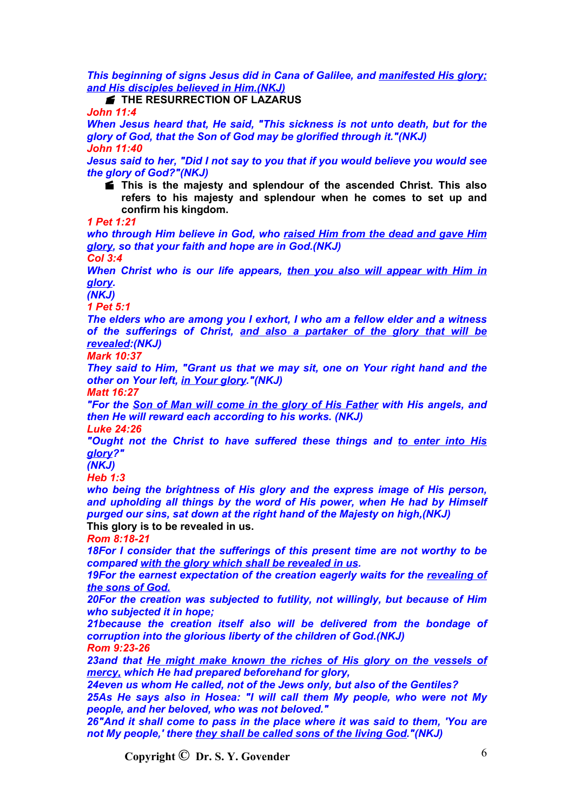*This beginning of signs Jesus did in Cana of Galilee, and manifested His glory; and His disciples believed in Him.(NKJ)*

**F** THE RESURRECTION OF LAZARUS

*John 11:4*

*When Jesus heard that, He said, "This sickness is not unto death, but for the glory of God, that the Son of God may be glorified through it."(NKJ) John 11:40*

*Jesus said to her, "Did I not say to you that if you would believe you would see the glory of God?"(NKJ)*

 **This is the majesty and splendour of the ascended Christ. This also refers to his majesty and splendour when he comes to set up and confirm his kingdom.**

*1 Pet 1:21*

*who through Him believe in God, who raised Him from the dead and gave Him glory, so that your faith and hope are in God.(NKJ)*

*Col 3:4*

*When Christ who is our life appears, then you also will appear with Him in glory.*

*(NKJ)*

*1 Pet 5:1*

*The elders who are among you I exhort, I who am a fellow elder and a witness of the sufferings of Christ, and also a partaker of the glory that will be revealed:(NKJ)*

*Mark 10:37*

*They said to Him, "Grant us that we may sit, one on Your right hand and the other on Your left, in Your glory."(NKJ)*

*Matt 16:27*

*"For the Son of Man will come in the glory of His Father with His angels, and then He will reward each according to his works. (NKJ)*

*Luke 24:26*

*"Ought not the Christ to have suffered these things and to enter into His glory?"*

*(NKJ)*

*Heb 1:3*

*who being the brightness of His glory and the express image of His person, and upholding all things by the word of His power, when He had by Himself purged our sins, sat down at the right hand of the Majesty on high,(NKJ)*

**This glory is to be revealed in us.**

*Rom 8:18-21*

*18For I consider that the sufferings of this present time are not worthy to be compared with the glory which shall be revealed in us.*

*19For the earnest expectation of the creation eagerly waits for the revealing of the sons of God.*

*20For the creation was subjected to futility, not willingly, but because of Him who subjected it in hope;*

*21because the creation itself also will be delivered from the bondage of corruption into the glorious liberty of the children of God.(NKJ) Rom 9:23-26*

*23and that He might make known the riches of His glory on the vessels of mercy, which He had prepared beforehand for glory,*

*24even us whom He called, not of the Jews only, but also of the Gentiles?*

*25As He says also in Hosea: "I will call them My people, who were not My people, and her beloved, who was not beloved."*

*26"And it shall come to pass in the place where it was said to them, 'You are not My people,' there they shall be called sons of the living God."(NKJ)*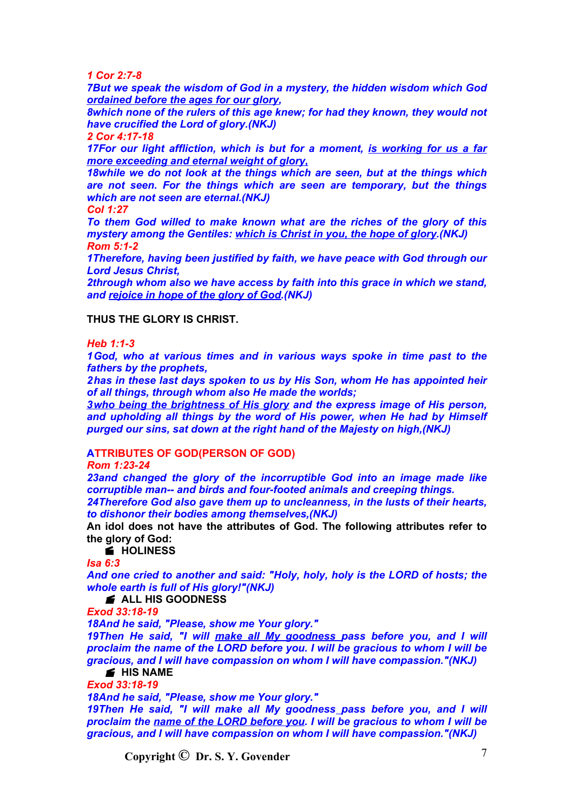*1 Cor 2:7-8*

*7But we speak the wisdom of God in a mystery, the hidden wisdom which God ordained before the ages for our glory,*

*8which none of the rulers of this age knew; for had they known, they would not have crucified the Lord of glory.(NKJ)*

*2 Cor 4:17-18*

*17For our light affliction, which is but for a moment, is working for us a far more exceeding and eternal weight of glory,*

*18while we do not look at the things which are seen, but at the things which are not seen. For the things which are seen are temporary, but the things which are not seen are eternal.(NKJ)*

*Col 1:27*

*To them God willed to make known what are the riches of the glory of this mystery among the Gentiles: which is Christ in you, the hope of glory.(NKJ) Rom 5:1-2*

*1Therefore, having been justified by faith, we have peace with God through our Lord Jesus Christ,*

*2through whom also we have access by faith into this grace in which we stand, and rejoice in hope of the glory of God.(NKJ)*

#### **THUS THE GLORY IS CHRIST.**

# *Heb 1:1-3*

*1God, who at various times and in various ways spoke in time past to the fathers by the prophets,*

*2has in these last days spoken to us by His Son, whom He has appointed heir of all things, through whom also He made the worlds;*

*3who being the brightness of His glory and the express image of His person, and upholding all things by the word of His power, when He had by Himself purged our sins, sat down at the right hand of the Majesty on high,(NKJ)*

# **ATTRIBUTES OF GOD(PERSON OF GOD)**

*Rom 1:23-24*

*23and changed the glory of the incorruptible God into an image made like corruptible man-- and birds and four-footed animals and creeping things.*

*24Therefore God also gave them up to uncleanness, in the lusts of their hearts, to dishonor their bodies among themselves,(NKJ)*

**An idol does not have the attributes of God. The following attributes refer to the glory of God:**

# **HOLINESS**

*Isa 6:3*

*And one cried to another and said: "Holy, holy, holy is the LORD of hosts; the whole earth is full of His glory!"(NKJ)*

**ALL HIS GOODNESS** 

*Exod 33:18-19*

*18And he said, "Please, show me Your glory."*

*19Then He said, "I will make all My goodness pass before you, and I will proclaim the name of the LORD before you. I will be gracious to whom I will be gracious, and I will have compassion on whom I will have compassion."(NKJ)*

#### **HIS NAME**

*Exod 33:18-19*

*18And he said, "Please, show me Your glory."*

*19Then He said, "I will make all My goodness pass before you, and I will proclaim the name of the LORD before you. I will be gracious to whom I will be gracious, and I will have compassion on whom I will have compassion."(NKJ)*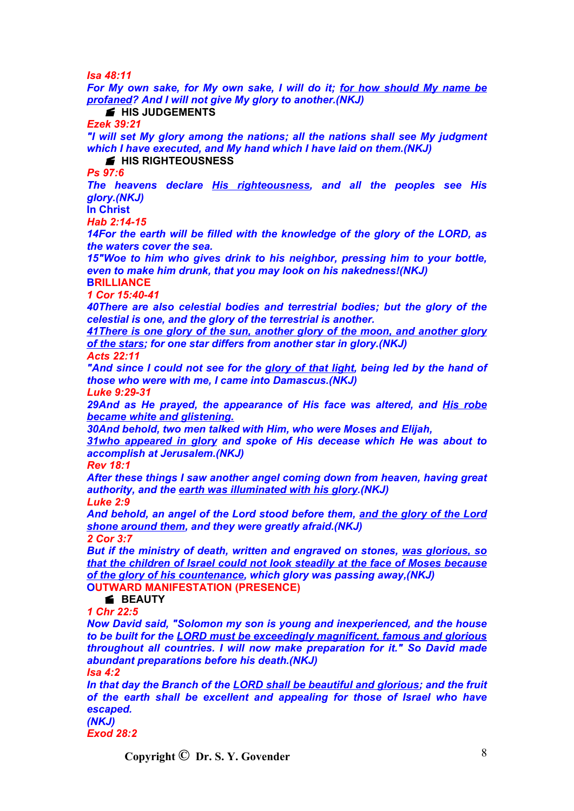*Isa 48:11*

*For My own sake, for My own sake, I will do it; for how should My name be profaned? And I will not give My glory to another.(NKJ)*

# **HIS JUDGEMENTS**

*Ezek 39:21*

*"I will set My glory among the nations; all the nations shall see My judgment which I have executed, and My hand which I have laid on them.(NKJ)*

**HIS RIGHTEOUSNESS** 

*Ps 97:6*

*The heavens declare His righteousness, and all the peoples see His glory.(NKJ)*

**In Christ** *Hab 2:14-15*

*14For the earth will be filled with the knowledge of the glory of the LORD, as the waters cover the sea.*

*15"Woe to him who gives drink to his neighbor, pressing him to your bottle, even to make him drunk, that you may look on his nakedness!(NKJ)*

**BRILLIANCE** *1 Cor 15:40-41*

*40There are also celestial bodies and terrestrial bodies; but the glory of the celestial is one, and the glory of the terrestrial is another.*

*41There is one glory of the sun, another glory of the moon, and another glory of the stars; for one star differs from another star in glory.(NKJ) Acts 22:11*

*"And since I could not see for the glory of that light, being led by the hand of those who were with me, I came into Damascus.(NKJ)*

*Luke 9:29-31*

*29And as He prayed, the appearance of His face was altered, and His robe became white and glistening.*

*30And behold, two men talked with Him, who were Moses and Elijah,*

*31who appeared in glory and spoke of His decease which He was about to accomplish at Jerusalem.(NKJ)*

*Rev 18:1*

*After these things I saw another angel coming down from heaven, having great authority, and the earth was illuminated with his glory.(NKJ) Luke 2:9*

*And behold, an angel of the Lord stood before them, and the glory of the Lord shone around them, and they were greatly afraid.(NKJ)*

*2 Cor 3:7*

*But if the ministry of death, written and engraved on stones, was glorious, so that the children of Israel could not look steadily at the face of Moses because of the glory of his countenance, which glory was passing away,(NKJ)* **OUTWARD MANIFESTATION (PRESENCE)**

#### **BEAUTY**

*1 Chr 22:5*

*Now David said, "Solomon my son is young and inexperienced, and the house to be built for the LORD must be exceedingly magnificent, famous and glorious throughout all countries. I will now make preparation for it." So David made abundant preparations before his death.(NKJ)*

*Isa 4:2*

*In that day the Branch of the LORD shall be beautiful and glorious; and the fruit of the earth shall be excellent and appealing for those of Israel who have escaped. (NKJ)*

*Exod 28:2*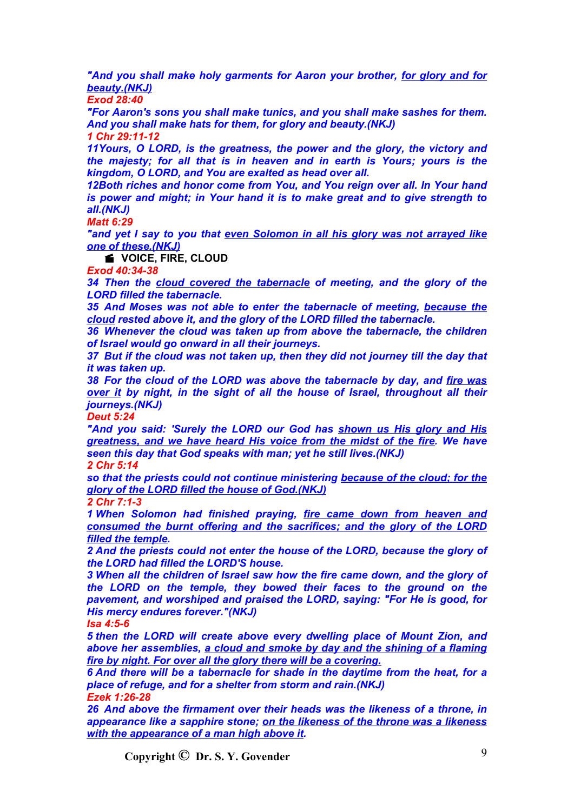*"And you shall make holy garments for Aaron your brother, for glory and for beauty.(NKJ)*

*Exod 28:40*

*"For Aaron's sons you shall make tunics, and you shall make sashes for them. And you shall make hats for them, for glory and beauty.(NKJ) 1 Chr 29:11-12*

*11Yours, O LORD, is the greatness, the power and the glory, the victory and the majesty; for all that is in heaven and in earth is Yours; yours is the kingdom, O LORD, and You are exalted as head over all.*

*12Both riches and honor come from You, and You reign over all. In Your hand is power and might; in Your hand it is to make great and to give strength to all.(NKJ)*

*Matt 6:29*

*"and yet I say to you that even Solomon in all his glory was not arrayed like one of these.(NKJ)*

*K* VOICE, FIRE, CLOUD

*Exod 40:34-38*

*34 Then the cloud covered the tabernacle of meeting, and the glory of the LORD filled the tabernacle.*

*35 And Moses was not able to enter the tabernacle of meeting, because the cloud rested above it, and the glory of the LORD filled the tabernacle.*

*36 Whenever the cloud was taken up from above the tabernacle, the children of Israel would go onward in all their journeys.*

*37 But if the cloud was not taken up, then they did not journey till the day that it was taken up.*

*38 For the cloud of the LORD was above the tabernacle by day, and fire was over it by night, in the sight of all the house of Israel, throughout all their journeys.(NKJ)*

*Deut 5:24*

*"And you said: 'Surely the LORD our God has shown us His glory and His greatness, and we have heard His voice from the midst of the fire. We have seen this day that God speaks with man; yet he still lives.(NKJ)*

*2 Chr 5:14*

*so that the priests could not continue ministering because of the cloud; for the glory of the LORD filled the house of God.(NKJ)*

*2 Chr 7:1-3*

*1 When Solomon had finished praying, fire came down from heaven and consumed the burnt offering and the sacrifices; and the glory of the LORD filled the temple.*

*2 And the priests could not enter the house of the LORD, because the glory of the LORD had filled the LORD'S house.*

*3 When all the children of Israel saw how the fire came down, and the glory of the LORD on the temple, they bowed their faces to the ground on the pavement, and worshiped and praised the LORD, saying: "For He is good, for His mercy endures forever."(NKJ)*

*Isa 4:5-6*

*5 then the LORD will create above every dwelling place of Mount Zion, and above her assemblies, a cloud and smoke by day and the shining of a flaming fire by night. For over all the glory there will be a covering.*

*6 And there will be a tabernacle for shade in the daytime from the heat, for a place of refuge, and for a shelter from storm and rain.(NKJ) Ezek 1:26-28*

*26 And above the firmament over their heads was the likeness of a throne, in appearance like a sapphire stone; on the likeness of the throne was a likeness with the appearance of a man high above it.*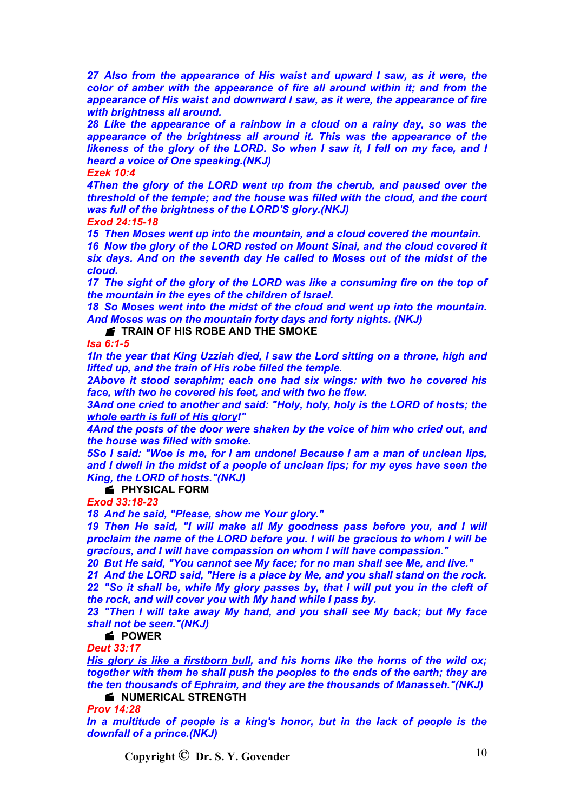*27 Also from the appearance of His waist and upward I saw, as it were, the color of amber with the appearance of fire all around within it; and from the appearance of His waist and downward I saw, as it were, the appearance of fire with brightness all around.*

*28 Like the appearance of a rainbow in a cloud on a rainy day, so was the appearance of the brightness all around it. This was the appearance of the likeness of the glory of the LORD. So when I saw it, I fell on my face, and I heard a voice of One speaking.(NKJ)*

*Ezek 10:4*

*4Then the glory of the LORD went up from the cherub, and paused over the threshold of the temple; and the house was filled with the cloud, and the court was full of the brightness of the LORD'S glory.(NKJ) Exod 24:15-18*

*15 Then Moses went up into the mountain, and a cloud covered the mountain.*

*16 Now the glory of the LORD rested on Mount Sinai, and the cloud covered it six days. And on the seventh day He called to Moses out of the midst of the cloud.*

*17 The sight of the glory of the LORD was like a consuming fire on the top of the mountain in the eyes of the children of Israel.*

*18 So Moses went into the midst of the cloud and went up into the mountain. And Moses was on the mountain forty days and forty nights. (NKJ)*

**F** TRAIN OF HIS ROBE AND THE SMOKE

*Isa 6:1-5*

*1In the year that King Uzziah died, I saw the Lord sitting on a throne, high and lifted up, and the train of His robe filled the temple.*

*2Above it stood seraphim; each one had six wings: with two he covered his face, with two he covered his feet, and with two he flew.*

*3And one cried to another and said: "Holy, holy, holy is the LORD of hosts; the whole earth is full of His glory!"*

*4And the posts of the door were shaken by the voice of him who cried out, and the house was filled with smoke.*

*5So I said: "Woe is me, for I am undone! Because I am a man of unclean lips, and I dwell in the midst of a people of unclean lips; for my eyes have seen the King, the LORD of hosts."(NKJ)*

**FIYSICAL FORM** 

*Exod 33:18-23*

*18 And he said, "Please, show me Your glory."*

*19 Then He said, "I will make all My goodness pass before you, and I will proclaim the name of the LORD before you. I will be gracious to whom I will be gracious, and I will have compassion on whom I will have compassion."*

*20 But He said, "You cannot see My face; for no man shall see Me, and live."*

*21 And the LORD said, "Here is a place by Me, and you shall stand on the rock. 22 "So it shall be, while My glory passes by, that I will put you in the cleft of the rock, and will cover you with My hand while I pass by.*

*23 "Then I will take away My hand, and you shall see My back; but My face shall not be seen."(NKJ)*

**POWER**

*Deut 33:17*

*His glory is like a firstborn bull, and his horns like the horns of the wild ox; together with them he shall push the peoples to the ends of the earth; they are the ten thousands of Ephraim, and they are the thousands of Manasseh."(NKJ)*

**K** NUMERICAL STRENGTH

*Prov 14:28*

*In a multitude of people is a king's honor, but in the lack of people is the downfall of a prince.(NKJ)*

**Copyright**  $\bigcirc$  **Dr. S. Y. Govender** 10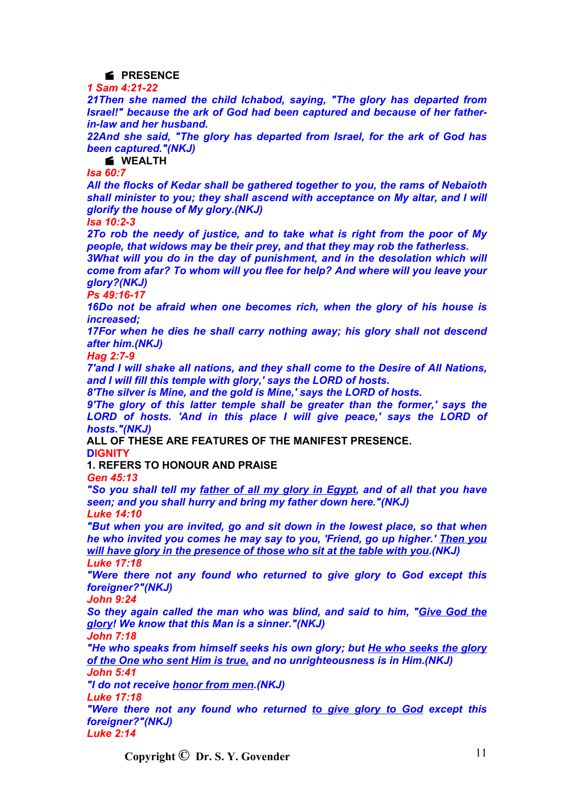# **PRESENCE**

*1 Sam 4:21-22*

*21Then she named the child Ichabod, saying, "The glory has departed from Israel!" because the ark of God had been captured and because of her fatherin-law and her husband.*

*22And she said, "The glory has departed from Israel, for the ark of God has been captured."(NKJ)*

#### **WEALTH**

*Isa 60:7*

*All the flocks of Kedar shall be gathered together to you, the rams of Nebaioth shall minister to you; they shall ascend with acceptance on My altar, and I will glorify the house of My glory.(NKJ)*

*Isa 10:2-3*

*2To rob the needy of justice, and to take what is right from the poor of My people, that widows may be their prey, and that they may rob the fatherless.*

*3What will you do in the day of punishment, and in the desolation which will come from afar? To whom will you flee for help? And where will you leave your glory?(NKJ)*

*Ps 49:16-17*

*16Do not be afraid when one becomes rich, when the glory of his house is increased;*

*17For when he dies he shall carry nothing away; his glory shall not descend after him.(NKJ)*

*Hag 2:7-9*

*7'and I will shake all nations, and they shall come to the Desire of All Nations, and I will fill this temple with glory,' says the LORD of hosts.*

*8'The silver is Mine, and the gold is Mine,' says the LORD of hosts.*

*9'The glory of this latter temple shall be greater than the former,' says the LORD of hosts. 'And in this place I will give peace,' says the LORD of hosts."(NKJ)*

**ALL OF THESE ARE FEATURES OF THE MANIFEST PRESENCE. DIGNITY**

**1. REFERS TO HONOUR AND PRAISE**

*Gen 45:13*

*"So you shall tell my father of all my glory in Egypt, and of all that you have seen; and you shall hurry and bring my father down here."(NKJ)*

*Luke 14:10*

*"But when you are invited, go and sit down in the lowest place, so that when he who invited you comes he may say to you, 'Friend, go up higher.' Then you will have glory in the presence of those who sit at the table with you.(NKJ) Luke 17:18*

*"Were there not any found who returned to give glory to God except this foreigner?"(NKJ)*

*John 9:24*

*So they again called the man who was blind, and said to him, "Give God the glory! We know that this Man is a sinner."(NKJ)*

*John 7:18*

*"He who speaks from himself seeks his own glory; but He who seeks the glory of the One who sent Him is true, and no unrighteousness is in Him.(NKJ) John 5:41*

*"I do not receive honor from men.(NKJ)*

*Luke 17:18*

*"Were there not any found who returned to give glory to God except this foreigner?"(NKJ)*

*Luke 2:14*

**Copyright**  $\bigcirc$  **Dr. S. Y. Govender** 11